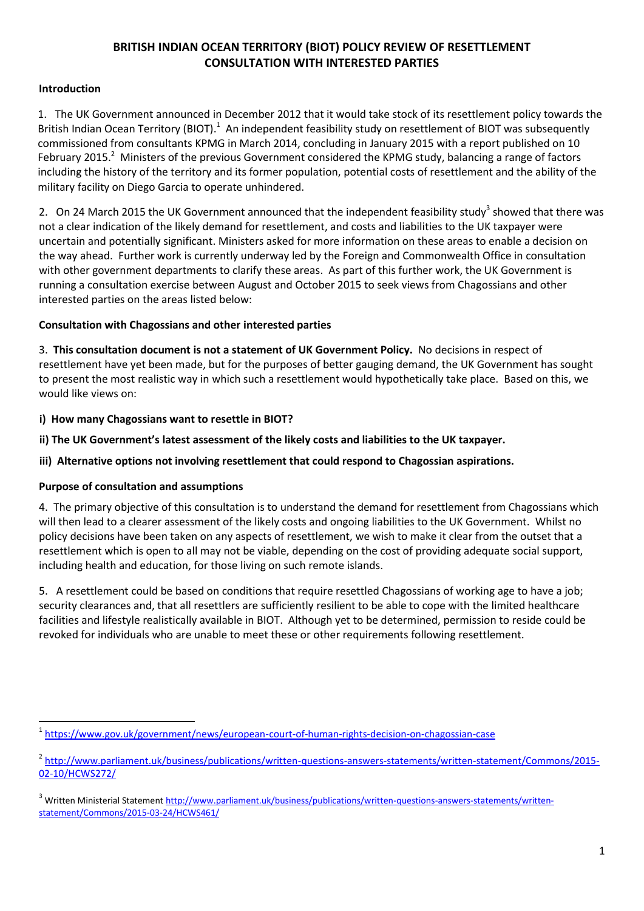# **BRITISH INDIAN OCEAN TERRITORY (BIOT) POLICY REVIEW OF RESETTLEMENT CONSULTATION WITH INTERESTED PARTIES**

# **Introduction**

1. The UK Government announced in December 2012 that it would take stock of its resettlement policy towards the British Indian Ocean Territory (BIOT).<sup>1</sup> An independent feasibility study on resettlement of BIOT was subsequently commissioned from consultants KPMG in March 2014, concluding in January 2015 with a report published on 10 February 2015.<sup>2</sup> Ministers of the previous Government considered the KPMG study, balancing a range of factors including the history of the territory and its former population, potential costs of resettlement and the ability of the military facility on Diego Garcia to operate unhindered.

2. On 24 March 2015 the UK Government announced that the independent feasibility study<sup>3</sup> showed that there was not a clear indication of the likely demand for resettlement, and costs and liabilities to the UK taxpayer were uncertain and potentially significant. Ministers asked for more information on these areas to enable a decision on the way ahead. Further work is currently underway led by the Foreign and Commonwealth Office in consultation with other government departments to clarify these areas. As part of this further work, the UK Government is running a consultation exercise between August and October 2015 to seek views from Chagossians and other interested parties on the areas listed below:

# **Consultation with Chagossians and other interested parties**

3. **This consultation document is not a statement of UK Government Policy.** No decisions in respect of resettlement have yet been made, but for the purposes of better gauging demand, the UK Government has sought to present the most realistic way in which such a resettlement would hypothetically take place. Based on this, we would like views on:

- **i) How many Chagossians want to resettle in BIOT?**
- **ii) The UK Government's latest assessment of the likely costs and liabilities to the UK taxpayer.**

**iii) Alternative options not involving resettlement that could respond to Chagossian aspirations.** 

# **Purpose of consultation and assumptions**

4. The primary objective of this consultation is to understand the demand for resettlement from Chagossians which will then lead to a clearer assessment of the likely costs and ongoing liabilities to the UK Government. Whilst no policy decisions have been taken on any aspects of resettlement, we wish to make it clear from the outset that a resettlement which is open to all may not be viable, depending on the cost of providing adequate social support, including health and education, for those living on such remote islands.

5. A resettlement could be based on conditions that require resettled Chagossians of working age to have a job; security clearances and, that all resettlers are sufficiently resilient to be able to cope with the limited healthcare facilities and lifestyle realistically available in BIOT. Although yet to be determined, permission to reside could be revoked for individuals who are unable to meet these or other requirements following resettlement.

**<sup>.</sup>** <sup>1</sup><https://www.gov.uk/government/news/european-court-of-human-rights-decision-on-chagossian-case>

<sup>&</sup>lt;sup>2</sup> [http://www.parliament.uk/business/publications/written-questions-answers-statements/written-statement/Commons/2015-](http://www.parliament.uk/business/publications/written-questions-answers-statements/written-statement/Commons/2015-02-10/HCWS272/) [02-10/HCWS272/](http://www.parliament.uk/business/publications/written-questions-answers-statements/written-statement/Commons/2015-02-10/HCWS272/)

<sup>&</sup>lt;sup>3</sup> Written Ministerial Statemen[t http://www.parliament.uk/business/publications/written-questions-answers-statements/written](http://www.parliament.uk/business/publications/written-questions-answers-statements/written-statement/Commons/2015-03-24/HCWS461/)[statement/Commons/2015-03-24/HCWS461/](http://www.parliament.uk/business/publications/written-questions-answers-statements/written-statement/Commons/2015-03-24/HCWS461/)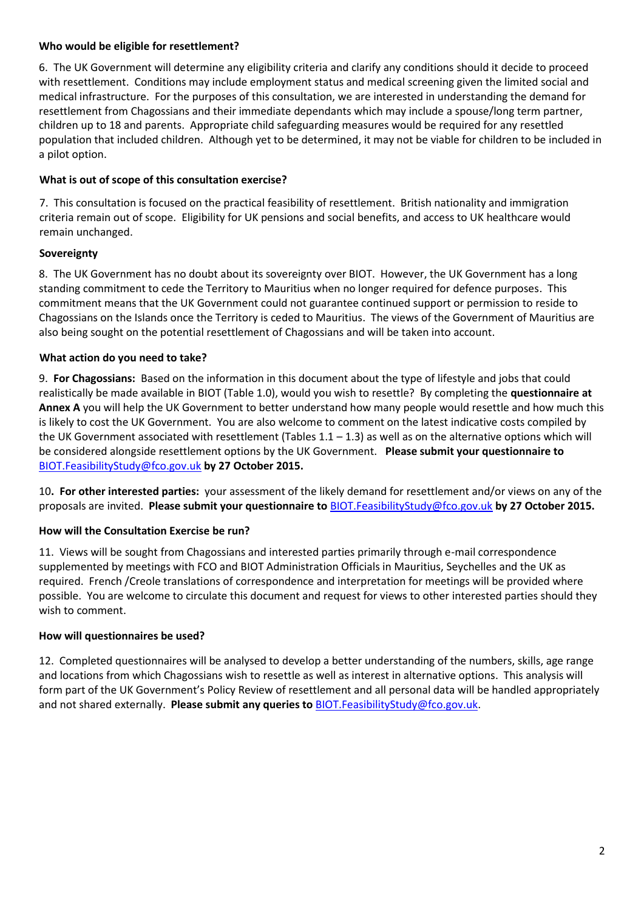### **Who would be eligible for resettlement?**

6. The UK Government will determine any eligibility criteria and clarify any conditions should it decide to proceed with resettlement. Conditions may include employment status and medical screening given the limited social and medical infrastructure. For the purposes of this consultation, we are interested in understanding the demand for resettlement from Chagossians and their immediate dependants which may include a spouse/long term partner, children up to 18 and parents. Appropriate child safeguarding measures would be required for any resettled population that included children. Although yet to be determined, it may not be viable for children to be included in a pilot option.

### **What is out of scope of this consultation exercise?**

7. This consultation is focused on the practical feasibility of resettlement. British nationality and immigration criteria remain out of scope. Eligibility for UK pensions and social benefits, and access to UK healthcare would remain unchanged.

### **Sovereignty**

8. The UK Government has no doubt about its sovereignty over BIOT. However, the UK Government has a long standing commitment to cede the Territory to Mauritius when no longer required for defence purposes. This commitment means that the UK Government could not guarantee continued support or permission to reside to Chagossians on the Islands once the Territory is ceded to Mauritius. The views of the Government of Mauritius are also being sought on the potential resettlement of Chagossians and will be taken into account.

### **What action do you need to take?**

9. **For Chagossians:** Based on the information in this document about the type of lifestyle and jobs that could realistically be made available in BIOT (Table 1.0), would you wish to resettle? By completing the **questionnaire at Annex A** you will help the UK Government to better understand how many people would resettle and how much this is likely to cost the UK Government. You are also welcome to comment on the latest indicative costs compiled by the UK Government associated with resettlement (Tables  $1.1 - 1.3$ ) as well as on the alternative options which will be considered alongside resettlement options by the UK Government. **Please submit your questionnaire to** [BIOT.FeasibilityStudy@fco.gov.uk](mailto:BIOT.FeasibilityStudy@fco.gov.uk) **by 27 October 2015.**

10**. For other interested parties:** your assessment of the likely demand for resettlement and/or views on any of the proposals are invited. **Please submit your questionnaire to** [BIOT.FeasibilityStudy@fco.gov.uk](mailto:BIOT.FeasibilityStudy@fco.gov.uk) **by 27 October 2015.**

### **How will the Consultation Exercise be run?**

11. Views will be sought from Chagossians and interested parties primarily through e-mail correspondence supplemented by meetings with FCO and BIOT Administration Officials in Mauritius, Seychelles and the UK as required. French /Creole translations of correspondence and interpretation for meetings will be provided where possible. You are welcome to circulate this document and request for views to other interested parties should they wish to comment.

### **How will questionnaires be used?**

12. Completed questionnaires will be analysed to develop a better understanding of the numbers, skills, age range and locations from which Chagossians wish to resettle as well as interest in alternative options. This analysis will form part of the UK Government's Policy Review of resettlement and all personal data will be handled appropriately and not shared externally. **Please submit any queries to** [BIOT.FeasibilityStudy@fco.gov.uk.](mailto:BIOT.FeasibilityStudy@fco.gov.uk)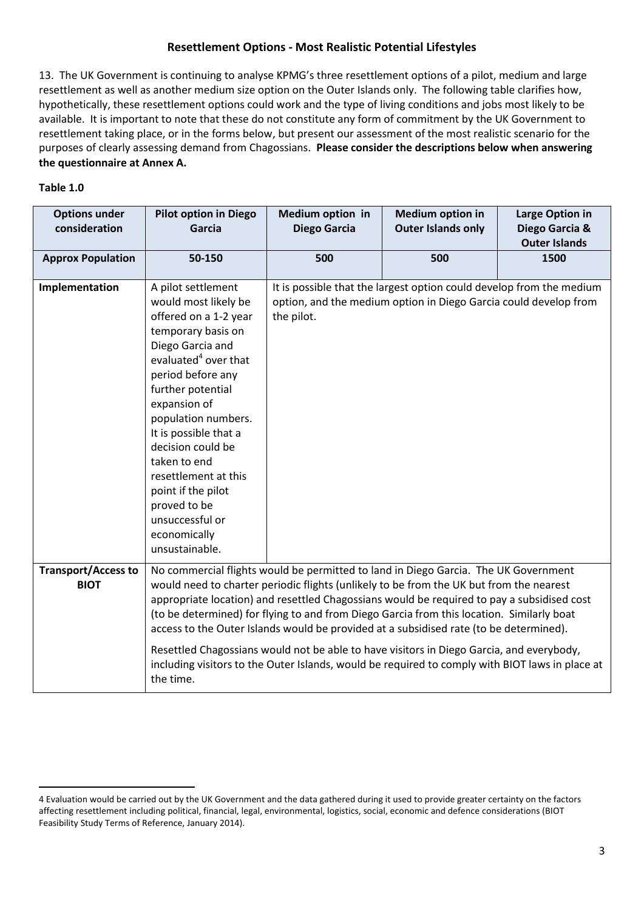# **Resettlement Options - Most Realistic Potential Lifestyles**

13. The UK Government is continuing to analyse KPMG's three resettlement options of a pilot, medium and large resettlement as well as another medium size option on the Outer Islands only. The following table clarifies how, hypothetically, these resettlement options could work and the type of living conditions and jobs most likely to be available. It is important to note that these do not constitute any form of commitment by the UK Government to resettlement taking place, or in the forms below, but present our assessment of the most realistic scenario for the purposes of clearly assessing demand from Chagossians. **Please consider the descriptions below when answering the questionnaire at Annex A.** 

### **Table 1.0**

 $\overline{a}$ 

| <b>Options under</b><br>consideration     | <b>Pilot option in Diego</b><br>Garcia                                                                                                                                                                                                                                                                                                                                                                                                                              | Medium option in<br><b>Diego Garcia</b>                                                                                                                                                     | <b>Medium option in</b><br><b>Outer Islands only</b>                                                                                     | Large Option in<br>Diego Garcia &<br><b>Outer Islands</b> |  |  |
|-------------------------------------------|---------------------------------------------------------------------------------------------------------------------------------------------------------------------------------------------------------------------------------------------------------------------------------------------------------------------------------------------------------------------------------------------------------------------------------------------------------------------|---------------------------------------------------------------------------------------------------------------------------------------------------------------------------------------------|------------------------------------------------------------------------------------------------------------------------------------------|-----------------------------------------------------------|--|--|
| <b>Approx Population</b>                  | 50-150                                                                                                                                                                                                                                                                                                                                                                                                                                                              | 500                                                                                                                                                                                         | 500                                                                                                                                      | 1500                                                      |  |  |
| Implementation                            | A pilot settlement<br>would most likely be<br>offered on a 1-2 year<br>temporary basis on<br>Diego Garcia and<br>evaluated <sup>4</sup> over that<br>period before any<br>further potential<br>expansion of<br>population numbers.<br>It is possible that a<br>decision could be<br>taken to end<br>resettlement at this<br>point if the pilot<br>proved to be<br>unsuccessful or<br>economically<br>unsustainable.                                                 | the pilot.                                                                                                                                                                                  | It is possible that the largest option could develop from the medium<br>option, and the medium option in Diego Garcia could develop from |                                                           |  |  |
| <b>Transport/Access to</b><br><b>BIOT</b> | No commercial flights would be permitted to land in Diego Garcia. The UK Government<br>would need to charter periodic flights (unlikely to be from the UK but from the nearest<br>appropriate location) and resettled Chagossians would be required to pay a subsidised cost<br>(to be determined) for flying to and from Diego Garcia from this location. Similarly boat<br>access to the Outer Islands would be provided at a subsidised rate (to be determined). |                                                                                                                                                                                             |                                                                                                                                          |                                                           |  |  |
|                                           | the time.                                                                                                                                                                                                                                                                                                                                                                                                                                                           | Resettled Chagossians would not be able to have visitors in Diego Garcia, and everybody,<br>including visitors to the Outer Islands, would be required to comply with BIOT laws in place at |                                                                                                                                          |                                                           |  |  |

<sup>4</sup> Evaluation would be carried out by the UK Government and the data gathered during it used to provide greater certainty on the factors affecting resettlement including political, financial, legal, environmental, logistics, social, economic and defence considerations (BIOT Feasibility Study Terms of Reference, January 2014).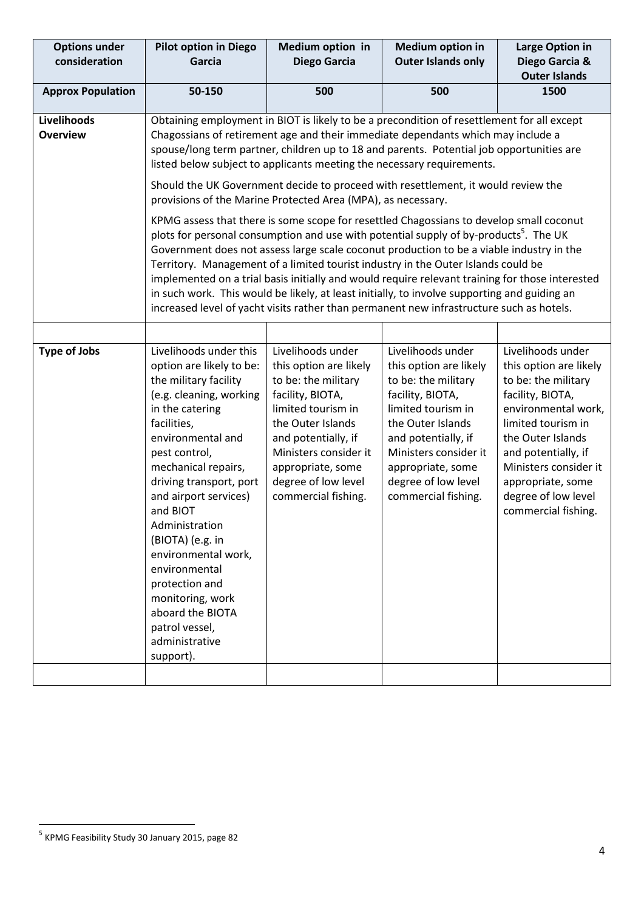| <b>Options under</b><br>consideration | <b>Pilot option in Diego</b><br>Garcia                                                                                                                                                                                                                                                                                                                                                                                                                                                                                                                                                                                                                                                                                                                                                                                                                                                                                                                                                                                                                                                                                                                                                    | Medium option in<br><b>Medium option in</b><br><b>Outer Islands only</b><br>Diego Garcia                                                                                                                                                             |                                                                                                                                                                                                                                                      | Large Option in<br>Diego Garcia &<br><b>Outer Islands</b>                                                                                                                                                                                                                   |  |  |
|---------------------------------------|-------------------------------------------------------------------------------------------------------------------------------------------------------------------------------------------------------------------------------------------------------------------------------------------------------------------------------------------------------------------------------------------------------------------------------------------------------------------------------------------------------------------------------------------------------------------------------------------------------------------------------------------------------------------------------------------------------------------------------------------------------------------------------------------------------------------------------------------------------------------------------------------------------------------------------------------------------------------------------------------------------------------------------------------------------------------------------------------------------------------------------------------------------------------------------------------|------------------------------------------------------------------------------------------------------------------------------------------------------------------------------------------------------------------------------------------------------|------------------------------------------------------------------------------------------------------------------------------------------------------------------------------------------------------------------------------------------------------|-----------------------------------------------------------------------------------------------------------------------------------------------------------------------------------------------------------------------------------------------------------------------------|--|--|
| <b>Approx Population</b>              | 50-150                                                                                                                                                                                                                                                                                                                                                                                                                                                                                                                                                                                                                                                                                                                                                                                                                                                                                                                                                                                                                                                                                                                                                                                    | 500                                                                                                                                                                                                                                                  | 500                                                                                                                                                                                                                                                  |                                                                                                                                                                                                                                                                             |  |  |
| Livelihoods<br><b>Overview</b>        | Obtaining employment in BIOT is likely to be a precondition of resettlement for all except<br>Chagossians of retirement age and their immediate dependants which may include a<br>spouse/long term partner, children up to 18 and parents. Potential job opportunities are<br>listed below subject to applicants meeting the necessary requirements.<br>Should the UK Government decide to proceed with resettlement, it would review the<br>provisions of the Marine Protected Area (MPA), as necessary.<br>KPMG assess that there is some scope for resettled Chagossians to develop small coconut<br>plots for personal consumption and use with potential supply of by-products <sup>5</sup> . The UK<br>Government does not assess large scale coconut production to be a viable industry in the<br>Territory. Management of a limited tourist industry in the Outer Islands could be<br>implemented on a trial basis initially and would require relevant training for those interested<br>in such work. This would be likely, at least initially, to involve supporting and guiding an<br>increased level of yacht visits rather than permanent new infrastructure such as hotels. |                                                                                                                                                                                                                                                      |                                                                                                                                                                                                                                                      |                                                                                                                                                                                                                                                                             |  |  |
|                                       |                                                                                                                                                                                                                                                                                                                                                                                                                                                                                                                                                                                                                                                                                                                                                                                                                                                                                                                                                                                                                                                                                                                                                                                           |                                                                                                                                                                                                                                                      |                                                                                                                                                                                                                                                      |                                                                                                                                                                                                                                                                             |  |  |
| <b>Type of Jobs</b>                   | Livelihoods under this<br>option are likely to be:<br>the military facility<br>(e.g. cleaning, working<br>in the catering<br>facilities,<br>environmental and<br>pest control,<br>mechanical repairs,<br>driving transport, port<br>and airport services)<br>and BIOT<br>Administration<br>(BIOTA) (e.g. in<br>environmental work,<br>environmental<br>protection and<br>monitoring, work<br>aboard the BIOTA<br>patrol vessel,<br>administrative<br>support).                                                                                                                                                                                                                                                                                                                                                                                                                                                                                                                                                                                                                                                                                                                            | Livelihoods under<br>this option are likely<br>to be: the military<br>facility, BIOTA,<br>limited tourism in<br>the Outer Islands<br>and potentially, if<br>Ministers consider it<br>appropriate, some<br>degree of low level<br>commercial fishing. | Livelihoods under<br>this option are likely<br>to be: the military<br>facility, BIOTA,<br>limited tourism in<br>the Outer Islands<br>and potentially, if<br>Ministers consider it<br>appropriate, some<br>degree of low level<br>commercial fishing. | Livelihoods under<br>this option are likely<br>to be: the military<br>facility, BIOTA,<br>environmental work,<br>limited tourism in<br>the Outer Islands<br>and potentially, if<br>Ministers consider it<br>appropriate, some<br>degree of low level<br>commercial fishing. |  |  |

 5 KPMG Feasibility Study 30 January 2015, page 82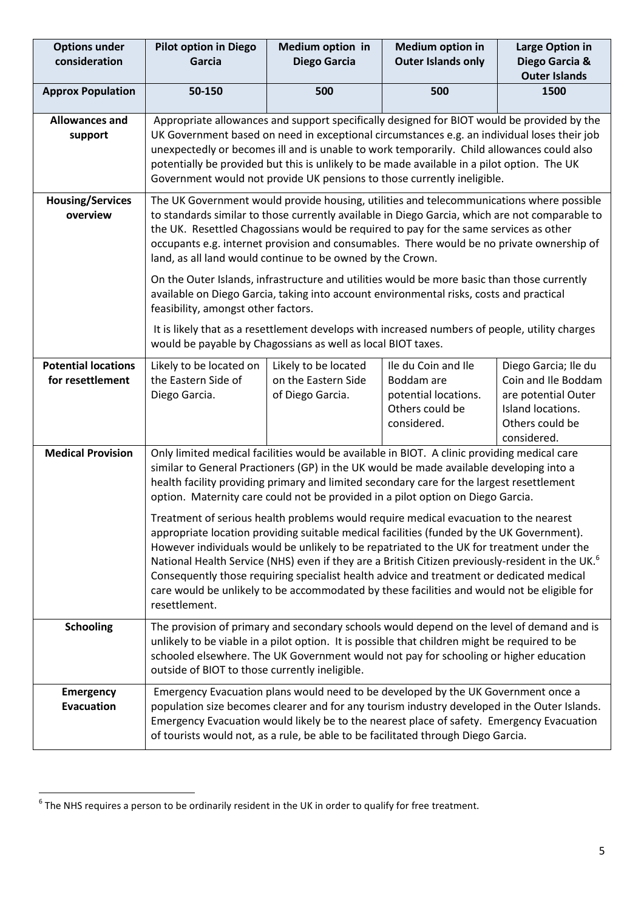| <b>Options under</b><br>consideration          | <b>Pilot option in Diego</b><br>Garcia                                                                                                                                                                                                                                                                                                                                                                                                                                                                                                                                                                     | <b>Medium option in</b><br><b>Diego Garcia</b>                  | <b>Medium option in</b><br><b>Outer Islands only</b>                                        | <b>Large Option in</b><br>Diego Garcia &                                                                                  |  |  |  |
|------------------------------------------------|------------------------------------------------------------------------------------------------------------------------------------------------------------------------------------------------------------------------------------------------------------------------------------------------------------------------------------------------------------------------------------------------------------------------------------------------------------------------------------------------------------------------------------------------------------------------------------------------------------|-----------------------------------------------------------------|---------------------------------------------------------------------------------------------|---------------------------------------------------------------------------------------------------------------------------|--|--|--|
|                                                |                                                                                                                                                                                                                                                                                                                                                                                                                                                                                                                                                                                                            |                                                                 |                                                                                             | <b>Outer Islands</b>                                                                                                      |  |  |  |
| <b>Approx Population</b>                       | 50-150                                                                                                                                                                                                                                                                                                                                                                                                                                                                                                                                                                                                     | 500                                                             | 500                                                                                         | 1500                                                                                                                      |  |  |  |
| <b>Allowances and</b><br>support               | Appropriate allowances and support specifically designed for BIOT would be provided by the<br>UK Government based on need in exceptional circumstances e.g. an individual loses their job<br>unexpectedly or becomes ill and is unable to work temporarily. Child allowances could also<br>potentially be provided but this is unlikely to be made available in a pilot option. The UK<br>Government would not provide UK pensions to those currently ineligible.                                                                                                                                          |                                                                 |                                                                                             |                                                                                                                           |  |  |  |
| <b>Housing/Services</b><br>overview            | The UK Government would provide housing, utilities and telecommunications where possible<br>to standards similar to those currently available in Diego Garcia, which are not comparable to<br>the UK. Resettled Chagossians would be required to pay for the same services as other<br>occupants e.g. internet provision and consumables. There would be no private ownership of<br>land, as all land would continue to be owned by the Crown.                                                                                                                                                             |                                                                 |                                                                                             |                                                                                                                           |  |  |  |
|                                                | On the Outer Islands, infrastructure and utilities would be more basic than those currently<br>available on Diego Garcia, taking into account environmental risks, costs and practical<br>feasibility, amongst other factors.                                                                                                                                                                                                                                                                                                                                                                              |                                                                 |                                                                                             |                                                                                                                           |  |  |  |
|                                                | It is likely that as a resettlement develops with increased numbers of people, utility charges<br>would be payable by Chagossians as well as local BIOT taxes.                                                                                                                                                                                                                                                                                                                                                                                                                                             |                                                                 |                                                                                             |                                                                                                                           |  |  |  |
| <b>Potential locations</b><br>for resettlement | Likely to be located on<br>the Eastern Side of<br>Diego Garcia.                                                                                                                                                                                                                                                                                                                                                                                                                                                                                                                                            | Likely to be located<br>on the Eastern Side<br>of Diego Garcia. | Ile du Coin and Ile<br>Boddam are<br>potential locations.<br>Others could be<br>considered. | Diego Garcia; Ile du<br>Coin and Ile Boddam<br>are potential Outer<br>Island locations.<br>Others could be<br>considered. |  |  |  |
| <b>Medical Provision</b>                       | Only limited medical facilities would be available in BIOT. A clinic providing medical care<br>similar to General Practioners (GP) in the UK would be made available developing into a<br>health facility providing primary and limited secondary care for the largest resettlement<br>option. Maternity care could not be provided in a pilot option on Diego Garcia.                                                                                                                                                                                                                                     |                                                                 |                                                                                             |                                                                                                                           |  |  |  |
|                                                | Treatment of serious health problems would require medical evacuation to the nearest<br>appropriate location providing suitable medical facilities (funded by the UK Government).<br>However individuals would be unlikely to be repatriated to the UK for treatment under the<br>National Health Service (NHS) even if they are a British Citizen previously-resident in the UK. <sup>6</sup><br>Consequently those requiring specialist health advice and treatment or dedicated medical<br>care would be unlikely to be accommodated by these facilities and would not be eligible for<br>resettlement. |                                                                 |                                                                                             |                                                                                                                           |  |  |  |
| <b>Schooling</b>                               | The provision of primary and secondary schools would depend on the level of demand and is<br>unlikely to be viable in a pilot option. It is possible that children might be required to be<br>schooled elsewhere. The UK Government would not pay for schooling or higher education<br>outside of BIOT to those currently ineligible.                                                                                                                                                                                                                                                                      |                                                                 |                                                                                             |                                                                                                                           |  |  |  |
| <b>Emergency</b><br><b>Evacuation</b>          | Emergency Evacuation plans would need to be developed by the UK Government once a<br>population size becomes clearer and for any tourism industry developed in the Outer Islands.<br>Emergency Evacuation would likely be to the nearest place of safety. Emergency Evacuation<br>of tourists would not, as a rule, be able to be facilitated through Diego Garcia.                                                                                                                                                                                                                                        |                                                                 |                                                                                             |                                                                                                                           |  |  |  |

 6 The NHS requires a person to be ordinarily resident in the UK in order to qualify for free treatment.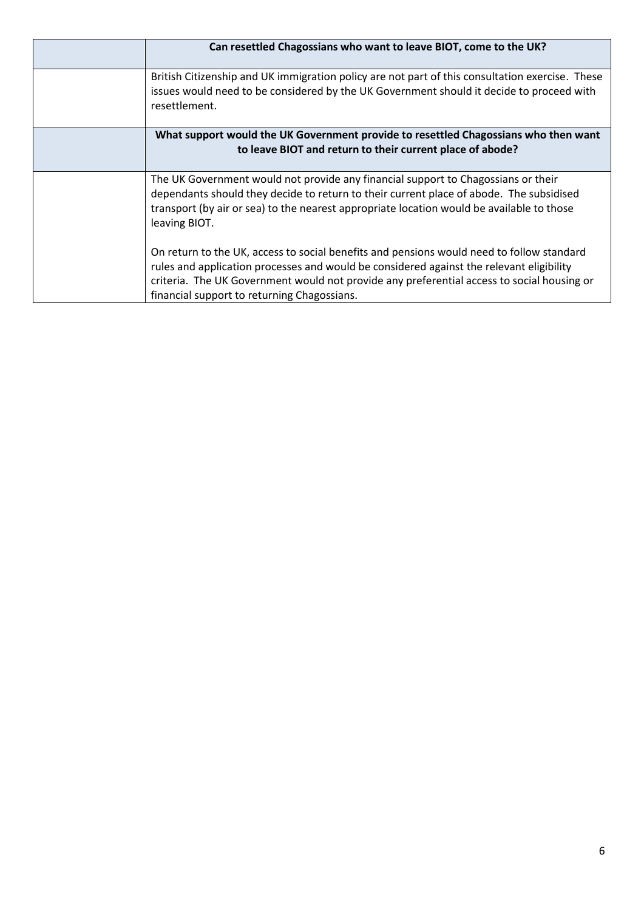| Can resettled Chagossians who want to leave BIOT, come to the UK?                                                                                                                                                                                                                                                                  |
|------------------------------------------------------------------------------------------------------------------------------------------------------------------------------------------------------------------------------------------------------------------------------------------------------------------------------------|
| British Citizenship and UK immigration policy are not part of this consultation exercise. These<br>issues would need to be considered by the UK Government should it decide to proceed with<br>resettlement.                                                                                                                       |
| What support would the UK Government provide to resettled Chagossians who then want<br>to leave BIOT and return to their current place of abode?                                                                                                                                                                                   |
| The UK Government would not provide any financial support to Chagossians or their<br>dependants should they decide to return to their current place of abode. The subsidised<br>transport (by air or sea) to the nearest appropriate location would be available to those<br>leaving BIOT.                                         |
| On return to the UK, access to social benefits and pensions would need to follow standard<br>rules and application processes and would be considered against the relevant eligibility<br>criteria. The UK Government would not provide any preferential access to social housing or<br>financial support to returning Chagossians. |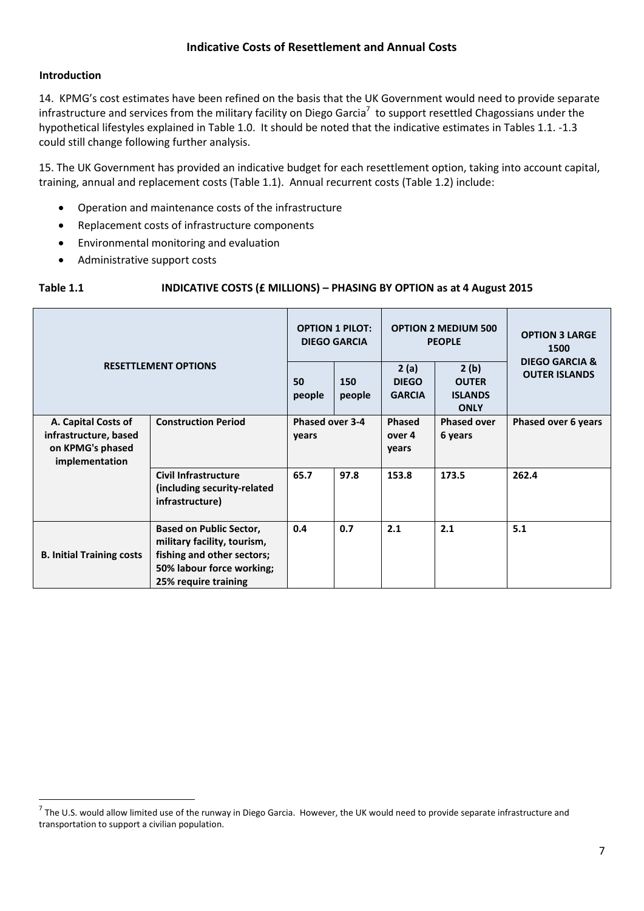### **Indicative Costs of Resettlement and Annual Costs**

### **Introduction**

14. KPMG's cost estimates have been refined on the basis that the UK Government would need to provide separate infrastructure and services from the military facility on Diego Garcia<sup>7</sup> to support resettled Chagossians under the hypothetical lifestyles explained in Table 1.0. It should be noted that the indicative estimates in Tables 1.1. -1.3 could still change following further analysis.

15. The UK Government has provided an indicative budget for each resettlement option, taking into account capital, training, annual and replacement costs (Table 1.1). Annual recurrent costs (Table 1.2) include:

- Operation and maintenance costs of the infrastructure
- Replacement costs of infrastructure components
- Environmental monitoring and evaluation
- Administrative support costs

### **Table 1.1 INDICATIVE COSTS (£ MILLIONS) – PHASING BY OPTION as at 4 August 2015**

| <b>RESETTLEMENT OPTIONS</b>                                                        |                                                                                                                                                  | <b>OPTION 1 PILOT:</b><br><b>DIEGO GARCIA</b> |               | <b>OPTION 2 MEDIUM 500</b><br><b>PEOPLE</b> |                                                       | <b>OPTION 3 LARGE</b><br>1500          |
|------------------------------------------------------------------------------------|--------------------------------------------------------------------------------------------------------------------------------------------------|-----------------------------------------------|---------------|---------------------------------------------|-------------------------------------------------------|----------------------------------------|
|                                                                                    |                                                                                                                                                  | 50<br>people                                  | 150<br>people | 2(a)<br><b>DIEGO</b><br><b>GARCIA</b>       | 2(b)<br><b>OUTER</b><br><b>ISLANDS</b><br><b>ONLY</b> | DIEGO GARCIA &<br><b>OUTER ISLANDS</b> |
| A. Capital Costs of<br>infrastructure, based<br>on KPMG's phased<br>implementation | <b>Construction Period</b>                                                                                                                       | Phased over 3-4<br>years                      |               | Phased<br>over 4<br>years                   | <b>Phased over</b><br>6 years                         | Phased over 6 years                    |
|                                                                                    | <b>Civil Infrastructure</b><br>(including security-related<br>infrastructure)                                                                    | 65.7                                          | 97.8          | 153.8                                       | 173.5                                                 | 262.4                                  |
| <b>B. Initial Training costs</b>                                                   | <b>Based on Public Sector,</b><br>military facility, tourism,<br>fishing and other sectors;<br>50% labour force working;<br>25% require training | 0.4                                           | 0.7           | 2.1                                         | 2.1                                                   | 5.1                                    |

 7 The U.S. would allow limited use of the runway in Diego Garcia. However, the UK would need to provide separate infrastructure and transportation to support a civilian population.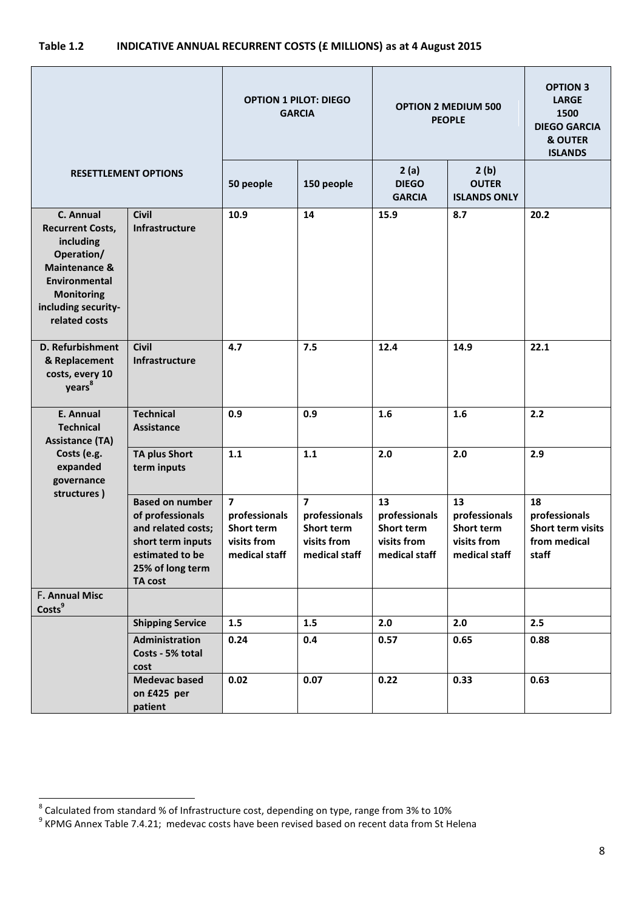## **Table 1.2 INDICATIVE ANNUAL RECURRENT COSTS (£ MILLIONS) as at 4 August 2015**

|                                                                                                                                                                       |                                                                                                                                         | <b>OPTION 1 PILOT: DIEGO</b><br><b>GARCIA</b>                                 |                                                                                        | <b>OPTION 2 MEDIUM 500</b><br><b>PEOPLE</b>                              |                                                                   | <b>OPTION 3</b><br><b>LARGE</b><br>1500<br><b>DIEGO GARCIA</b><br><b>&amp; OUTER</b><br><b>ISLANDS</b> |
|-----------------------------------------------------------------------------------------------------------------------------------------------------------------------|-----------------------------------------------------------------------------------------------------------------------------------------|-------------------------------------------------------------------------------|----------------------------------------------------------------------------------------|--------------------------------------------------------------------------|-------------------------------------------------------------------|--------------------------------------------------------------------------------------------------------|
| <b>RESETTLEMENT OPTIONS</b>                                                                                                                                           |                                                                                                                                         | 50 people                                                                     | 150 people                                                                             | 2(a)<br><b>DIEGO</b><br><b>GARCIA</b>                                    | 2(b)<br><b>OUTER</b><br><b>ISLANDS ONLY</b>                       |                                                                                                        |
| C. Annual<br><b>Recurrent Costs,</b><br>including<br>Operation/<br>Maintenance &<br><b>Environmental</b><br><b>Monitoring</b><br>including security-<br>related costs | <b>Civil</b><br>Infrastructure                                                                                                          | 10.9                                                                          | 14                                                                                     | 15.9                                                                     | 8.7                                                               | 20.2                                                                                                   |
| D. Refurbishment<br>& Replacement<br>costs, every 10<br>years <sup>8</sup>                                                                                            | <b>Civil</b><br>Infrastructure                                                                                                          | 4.7                                                                           | 7.5                                                                                    | 12.4                                                                     | 14.9                                                              | 22.1                                                                                                   |
| <b>E. Annual</b><br><b>Technical</b><br><b>Assistance (TA)</b>                                                                                                        | <b>Technical</b><br><b>Assistance</b>                                                                                                   | 0.9                                                                           | 0.9                                                                                    | 1.6                                                                      | 1.6                                                               | 2.2                                                                                                    |
| Costs (e.g.<br>expanded<br>governance<br>structures)                                                                                                                  | <b>TA plus Short</b><br>term inputs                                                                                                     | 1.1                                                                           | 1.1                                                                                    | 2.0                                                                      | 2.0                                                               | 2.9                                                                                                    |
|                                                                                                                                                                       | <b>Based on number</b><br>of professionals<br>and related costs;<br>short term inputs<br>estimated to be<br>25% of long term<br>TA cost | $\overline{7}$<br>professionals<br>Short term<br>visits from<br>medical staff | $\overline{\mathbf{z}}$<br>professionals<br>Short term<br>visits from<br>medical staff | 13<br>professionals<br><b>Short term</b><br>visits from<br>medical staff | 13<br>professionals<br>Short term<br>visits from<br>medical staff | 18<br>professionals<br>Short term visits<br>from medical<br>staff                                      |
| <b>F. Annual Misc</b><br>Costs <sup>9</sup>                                                                                                                           |                                                                                                                                         |                                                                               |                                                                                        |                                                                          |                                                                   |                                                                                                        |
|                                                                                                                                                                       | <b>Shipping Service</b>                                                                                                                 | 1.5                                                                           | 1.5                                                                                    | 2.0                                                                      | 2.0                                                               | 2.5                                                                                                    |
|                                                                                                                                                                       | Administration<br>Costs - 5% total<br>cost                                                                                              | 0.24                                                                          | 0.4                                                                                    | 0.57                                                                     | 0.65                                                              | 0.88                                                                                                   |
|                                                                                                                                                                       | <b>Medevac based</b><br>on £425 per<br>patient                                                                                          | 0.02                                                                          | 0.07                                                                                   | 0.22                                                                     | 0.33                                                              | 0.63                                                                                                   |

 8 Calculated from standard % of Infrastructure cost, depending on type, range from 3% to 10% 9 KPMG Annex Table 7.4.21; medevac costs have been revised based on recent data from St Helena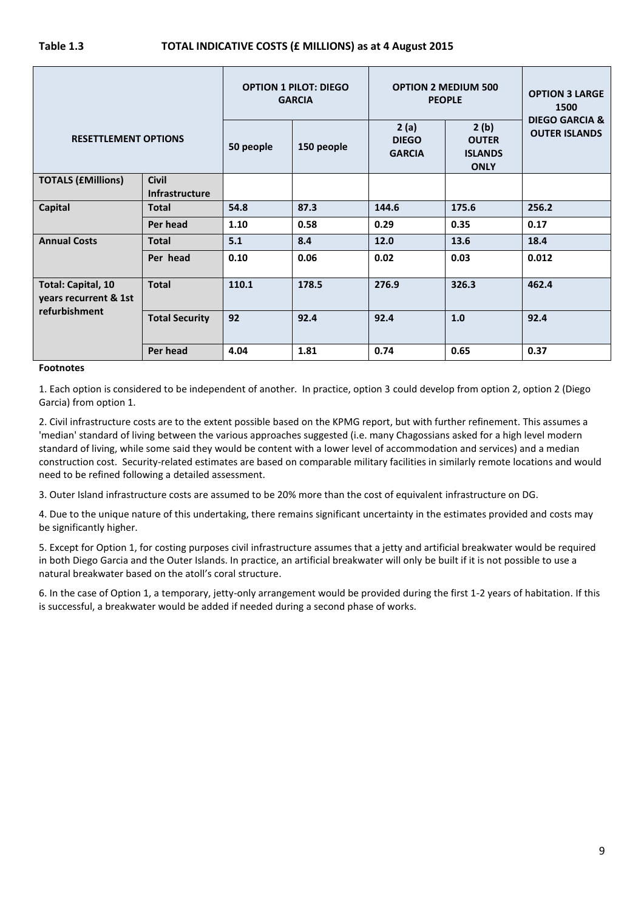|                                                                     |                                       | <b>OPTION 1 PILOT: DIEGO</b><br><b>GARCIA</b> |            | <b>OPTION 2 MEDIUM 500</b><br><b>PEOPLE</b> |                                                       | <b>OPTION 3 LARGE</b><br>1500                     |
|---------------------------------------------------------------------|---------------------------------------|-----------------------------------------------|------------|---------------------------------------------|-------------------------------------------------------|---------------------------------------------------|
| <b>RESETTLEMENT OPTIONS</b>                                         |                                       | 50 people                                     | 150 people | 2(a)<br><b>DIEGO</b><br><b>GARCIA</b>       | 2(b)<br><b>OUTER</b><br><b>ISLANDS</b><br><b>ONLY</b> | <b>DIEGO GARCIA &amp;</b><br><b>OUTER ISLANDS</b> |
| <b>TOTALS (£Millions)</b>                                           | <b>Civil</b><br><b>Infrastructure</b> |                                               |            |                                             |                                                       |                                                   |
| <b>Capital</b>                                                      | <b>Total</b>                          | 54.8                                          | 87.3       | 144.6                                       | 175.6                                                 | 256.2                                             |
|                                                                     | Per head                              | 1.10                                          | 0.58       | 0.29                                        | 0.35                                                  | 0.17                                              |
| <b>Annual Costs</b>                                                 | <b>Total</b>                          | 5.1                                           | 8.4        | 12.0                                        | 13.6                                                  | 18.4                                              |
|                                                                     | Per head                              | 0.10                                          | 0.06       | 0.02                                        | 0.03                                                  | 0.012                                             |
| <b>Total: Capital, 10</b><br>years recurrent & 1st<br>refurbishment | <b>Total</b>                          | 110.1                                         | 178.5      | 276.9                                       | 326.3                                                 | 462.4                                             |
|                                                                     | <b>Total Security</b>                 | 92                                            | 92.4       | 92.4                                        | 1.0                                                   | 92.4                                              |
|                                                                     | Per head                              | 4.04                                          | 1.81       | 0.74                                        | 0.65                                                  | 0.37                                              |

#### **Footnotes**

1. Each option is considered to be independent of another. In practice, option 3 could develop from option 2, option 2 (Diego Garcia) from option 1.

2. Civil infrastructure costs are to the extent possible based on the KPMG report, but with further refinement. This assumes a 'median' standard of living between the various approaches suggested (i.e. many Chagossians asked for a high level modern standard of living, while some said they would be content with a lower level of accommodation and services) and a median construction cost. Security-related estimates are based on comparable military facilities in similarly remote locations and would need to be refined following a detailed assessment.

3. Outer Island infrastructure costs are assumed to be 20% more than the cost of equivalent infrastructure on DG.

4. Due to the unique nature of this undertaking, there remains significant uncertainty in the estimates provided and costs may be significantly higher.

5. Except for Option 1, for costing purposes civil infrastructure assumes that a jetty and artificial breakwater would be required in both Diego Garcia and the Outer Islands. In practice, an artificial breakwater will only be built if it is not possible to use a natural breakwater based on the atoll's coral structure.

6. In the case of Option 1, a temporary, jetty-only arrangement would be provided during the first 1-2 years of habitation. If this is successful, a breakwater would be added if needed during a second phase of works.